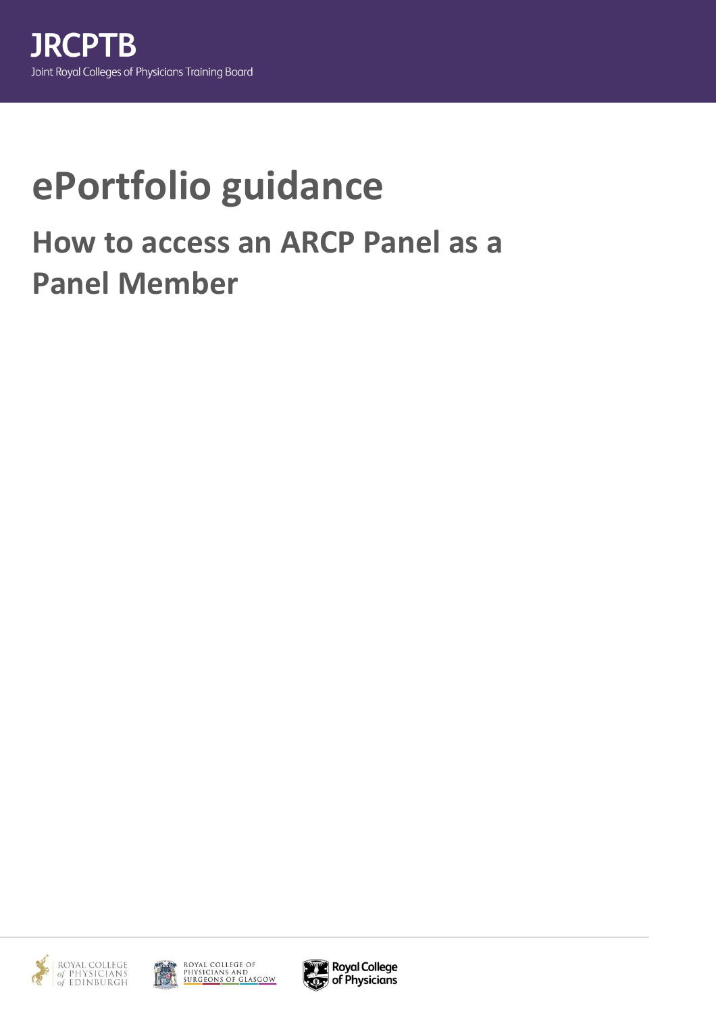## **ePortfolio guidance How to access an ARCP Panel as a Panel Member**





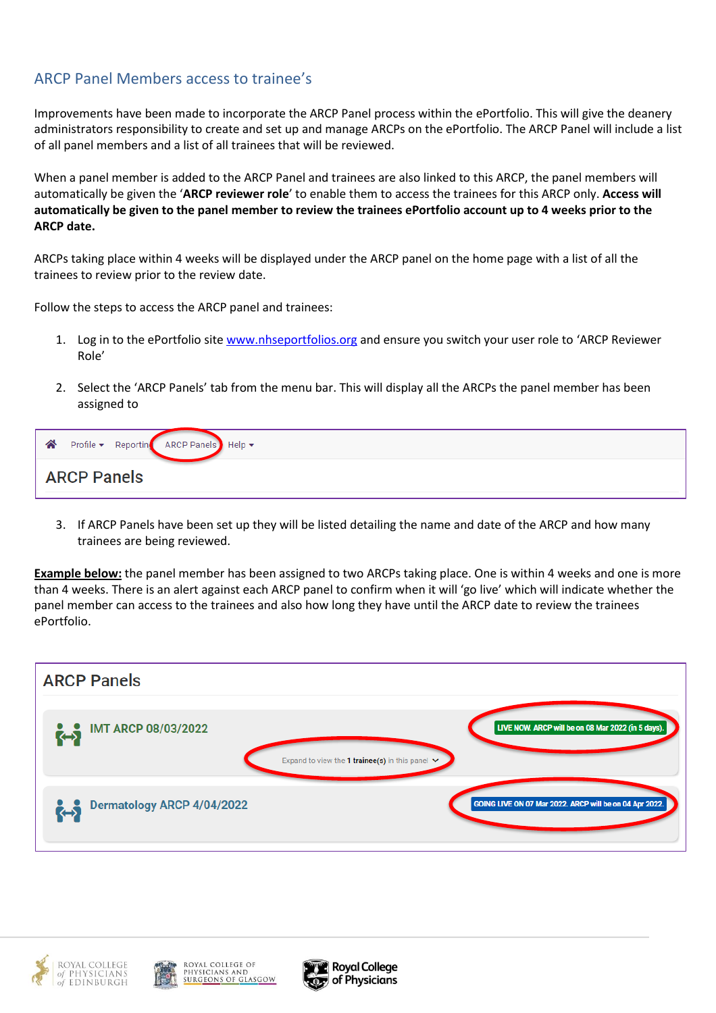## ARCP Panel Members access to trainee's

Improvements have been made to incorporate the ARCP Panel process within the ePortfolio. This will give the deanery administrators responsibility to create and set up and manage ARCPs on the ePortfolio. The ARCP Panel will include a list of all panel members and a list of all trainees that will be reviewed.

When a panel member is added to the ARCP Panel and trainees are also linked to this ARCP, the panel members will automatically be given the '**ARCP reviewer role**' to enable them to access the trainees for this ARCP only. **Access will automatically be given to the panel member to review the trainees ePortfolio account up to 4 weeks prior to the ARCP date.**

ARCPs taking place within 4 weeks will be displayed under the ARCP panel on the home page with a list of all the trainees to review prior to the review date.

Follow the steps to access the ARCP panel and trainees:

- 1. Log in to the ePortfolio site [www.nhseportfolios.org](http://www.nhseportfolios.org/) and ensure you switch your user role to 'ARCP Reviewer Role'
- 2. Select the 'ARCP Panels' tab from the menu bar. This will display all the ARCPs the panel member has been assigned to

| ARCP Panels |
|-------------|

3. If ARCP Panels have been set up they will be listed detailing the name and date of the ARCP and how many trainees are being reviewed.

**Example below:** the panel member has been assigned to two ARCPs taking place. One is within 4 weeks and one is more than 4 weeks. There is an alert against each ARCP panel to confirm when it will 'go live' which will indicate whether the panel member can access to the trainees and also how long they have until the ARCP date to review the trainees ePortfolio.